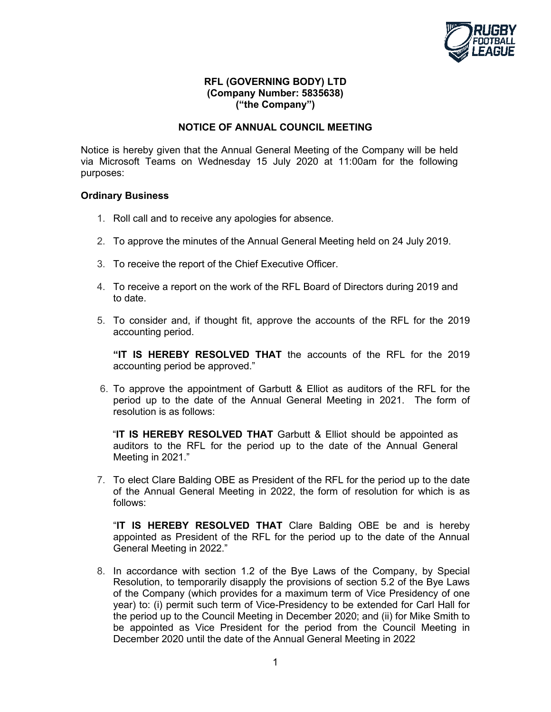

## **RFL (GOVERNING BODY) LTD (Company Number: 5835638) ("the Company")**

## **NOTICE OF ANNUAL COUNCIL MEETING**

Notice is hereby given that the Annual General Meeting of the Company will be held via Microsoft Teams on Wednesday 15 July 2020 at 11:00am for the following purposes:

## **Ordinary Business**

- 1. Roll call and to receive any apologies for absence.
- 2. To approve the minutes of the Annual General Meeting held on 24 July 2019.
- 3. To receive the report of the Chief Executive Officer.
- 4. To receive a report on the work of the RFL Board of Directors during 2019 and to date.
- 5. To consider and, if thought fit, approve the accounts of the RFL for the 2019 accounting period.

**"IT IS HEREBY RESOLVED THAT** the accounts of the RFL for the 2019 accounting period be approved."

6. To approve the appointment of Garbutt & Elliot as auditors of the RFL for the period up to the date of the Annual General Meeting in 2021. The form of resolution is as follows:

"**IT IS HEREBY RESOLVED THAT** Garbutt & Elliot should be appointed as auditors to the RFL for the period up to the date of the Annual General Meeting in 2021."

7. To elect Clare Balding OBE as President of the RFL for the period up to the date of the Annual General Meeting in 2022, the form of resolution for which is as follows:

"**IT IS HEREBY RESOLVED THAT** Clare Balding OBE be and is hereby appointed as President of the RFL for the period up to the date of the Annual General Meeting in 2022."

8. In accordance with section 1.2 of the Bye Laws of the Company, by Special Resolution, to temporarily disapply the provisions of section 5.2 of the Bye Laws of the Company (which provides for a maximum term of Vice Presidency of one year) to: (i) permit such term of Vice-Presidency to be extended for Carl Hall for the period up to the Council Meeting in December 2020; and (ii) for Mike Smith to be appointed as Vice President for the period from the Council Meeting in December 2020 until the date of the Annual General Meeting in 2022